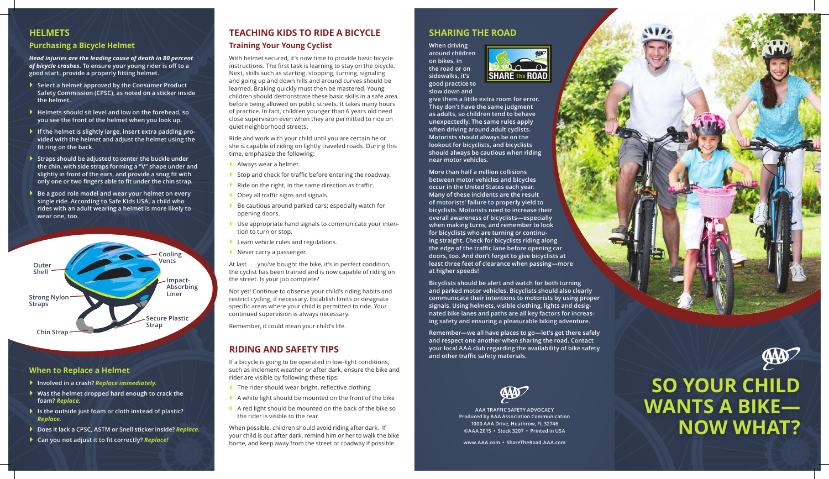## **Sharing the Road**

**When driving around children on bikes, in the road or on sidewalks, it's good practice to slow down and** 

**give them a little extra room for error. They don't have the same judgment as adults, so children tend to behave unexpectedly. The same rules apply when driving around adult cyclists. Motorists should always be on the lookout for bicyclists, and bicyclists should always be cautious when riding near motor vehicles.** 

**More than half a million collisions between motor vehicles and bicycles occur in the United States each year. Many of these incidents are the result of motorists' failure to properly yield to bicyclists. Motorists need to increase their overall awareness of bicyclists—especially when making turns, and remember to look for bicyclists who are turning or continuing straight. Check for bicyclists riding along the edge of the traffic lane before opening car doors, too. And don't forget to give bicyclists at least three feet of clearance when passing—more at higher speeds!** 

**Bicyclists should be alert and watch for both turning and parked motor vehicles. Bicyclists should also clearly communicate their intentions to motorists by using proper signals. Using helmets, visible clothing, lights and designated bike lanes and paths are all key factors for increasing safety and ensuring a pleasurable biking adventure.**

**Remember—we all have places to go—let's get there safely and respect one another when sharing the road. Contact your local AAA club regarding the availability of bike safety and other traffic safety materials.**

### **HELMETs**

#### **Purchasing a Bicycle Helmet**

*Head injuries are the leading cause of death in 80 percent of bicycle crashes.* **To ensure your young rider is off to a good start, provide a properly fitting helmet.** 

- **Select a helmet approved by the Consumer Product Safety Commission (CPSC), as noted on a sticker inside the helmet.**
- **Helmets should sit level and low on the forehead, so you see the front of the helmet when you look up.**
- **If the helmet is slightly large, insert extra padding provided with the helmet and adjust the helmet using the fit ring on the back.**
- **Straps should be adjusted to center the buckle under the chin, with side straps forming a "V" shape under and slightly in front of the ears, and provide a snug fit with only one or two fingers able to fit under the chin strap.**
- **▶ Be a good role model and wear your helmet on every single ride. According to Safe Kids USA, a child who rides with an adult wearing a helmet is more likely to wear one, too.**

- $\blacktriangleright$  The rider should wear bright, reflective clothing
- A white light should be mounted on the front of the bike
- A red light should be mounted on the back of the bike so the rider is visible to the rear

# **Teaching Kids to Ride a Bicycle Training Your Young Cyclist**

With helmet secured, it's now time to provide basic bicycle instructions. The first task is learning to stay on the bicycle. Next, skills such as starting, stopping, turning, signaling and going up and down hills and around curves should be learned. Braking quickly must then be mastered. Young children should demonstrate these basic skills in a safe area before being allowed on public streets. It takes many hours of practice. In fact, children younger than 6 years old need close supervision even when they are permitted to ride on quiet neighborhood streets.

Ride and work with your child until you are certain he or she is capable of riding on lightly traveled roads. During this time, emphasize the following:

- Always wear a helmet.
- Stop and check for traffic before entering the roadway.
- Ride on the right, in the same direction as traffic.
- ▶ Obey all traffic signs and signals.
- Be cautious around parked cars; especially watch for opening doors.
- Use appropriate hand signals to communicate your intention to turn or stop.
- Learn vehicle rules and regulations.
- Never carry a passenger.

At last . . . you've bought the bike, it's in perfect condition, the cyclist has been trained and is now capable of riding on the street. Is your job complete?

Not yet! Continue to observe your child's riding habits and restrict cycling, if necessary. Establish limits or designate specific areas where your child is permitted to ride. Your continued supervision is always necessary.

Remember, it could mean your child's life.

### **Riding and Safety Tips**

If a bicycle is going to be operated in low-light conditions, such as inclement weather or after dark, ensure the bike and rider are visible by following these tips:

When possible, children should avoid riding after dark. If your child is out after dark, remind him or her to walk the bike home, and keep away from the street or roadway if possible.



**so your child wants a bike— Now What?**

### **When to Replace a Helmet**

- **Involved in a crash?** *Replace immediately.*
- **Was the helmet dropped hard enough to crack the foam?** *Replace.*
- **Is the outside just foam or cloth instead of plastic?**  *Replace.*
- **▶** Does it lack a CPSC, ASTM or Snell sticker inside? *Replace.*
- **Can you not adjust it to fit correctly?** *Replace!*





**AAA Tra ffic Safety advocacy Produced by AAA Association Communication 1000 AAA Drive, Heathrow, FL 32746 ©AAA 2015 • Stock 3207 • Printed in USA**

**www.AAA.com • ShareTheRoad.AAA.com**